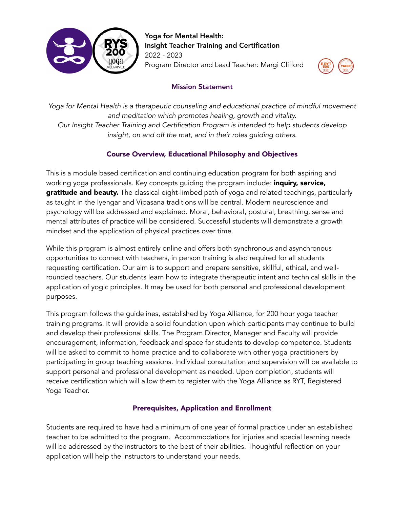

Yoga for Mental Health: Insight Teacher Training and Certification 2022 - 2023 Program Director and Lead Teacher: Margi Clifford



## Mission Statement

*Yoga for Mental Health is a therapeutic counseling and educational practice of mindful movement and meditation which promotes healing, growth and vitality. Our Insight Teacher Training and Certification Program is intended to help students develop insight, on and off the mat, and in their roles guiding others.*

# Course Overview, Educational Philosophy and Objectives

This is a module based certification and continuing education program for both aspiring and working yoga professionals. Key concepts guiding the program include: *inquiry*, service, gratitude and beauty. The classical eight-limbed path of yoga and related teachings, particularly as taught in the Iyengar and Vipasana traditions will be central. Modern neuroscience and psychology will be addressed and explained. Moral, behavioral, postural, breathing, sense and mental attributes of practice will be considered. Successful students will demonstrate a growth mindset and the application of physical practices over time.

While this program is almost entirely online and offers both synchronous and asynchronous opportunities to connect with teachers, in person training is also required for all students requesting certification. Our aim is to support and prepare sensitive, skillful, ethical, and wellrounded teachers. Our students learn how to integrate therapeutic intent and technical skills in the application of yogic principles. It may be used for both personal and professional development purposes.

This program follows the guidelines, established by Yoga Alliance, for 200 hour yoga teacher training programs. It will provide a solid foundation upon which participants may continue to build and develop their professional skills. The Program Director, Manager and Faculty will provide encouragement, information, feedback and space for students to develop competence. Students will be asked to commit to home practice and to collaborate with other yoga practitioners by participating in group teaching sessions. Individual consultation and supervision will be available to support personal and professional development as needed. Upon completion, students will receive certification which will allow them to register with the Yoga Alliance as RYT, Registered Yoga Teacher.

# Prerequisites, Application and Enrollment

Students are required to have had a minimum of one year of formal practice under an established teacher to be admitted to the program. Accommodations for injuries and special learning needs will be addressed by the instructors to the best of their abilities. Thoughtful reflection on your application will help the instructors to understand your needs.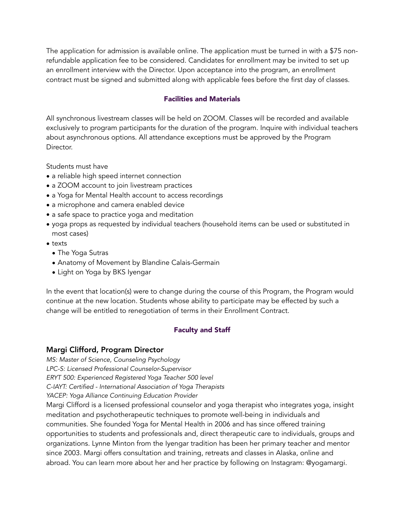The application for admission is available online. The application must be turned in with a \$75 nonrefundable application fee to be considered. Candidates for enrollment may be invited to set up an enrollment interview with the Director. Upon acceptance into the program, an enrollment contract must be signed and submitted along with applicable fees before the first day of classes.

#### Facilities and Materials

All synchronous livestream classes will be held on ZOOM. Classes will be recorded and available exclusively to program participants for the duration of the program. Inquire with individual teachers about asynchronous options. All attendance exceptions must be approved by the Program Director.

Students must have

- a reliable high speed internet connection
- a ZOOM account to join livestream practices
- a Yoga for Mental Health account to access recordings
- a microphone and camera enabled device
- a safe space to practice yoga and meditation
- yoga props as requested by individual teachers (household items can be used or substituted in most cases)
- texts
	- The Yoga Sutras
	- Anatomy of Movement by Blandine Calais-Germain
	- Light on Yoga by BKS Iyengar

In the event that location(s) were to change during the course of this Program, the Program would continue at the new location. Students whose ability to participate may be effected by such a change will be entitled to renegotiation of terms in their Enrollment Contract.

### Faculty and Staff

### Margi Clifford, Program Director

*MS: Master of Science, Counseling Psychology*

*LPC-S: Licensed Professional Counselor-Supervisor* 

*ERYT 500: Experienced Registered Yoga Teacher 500 level*

*C-IAYT: Certified - International Association of Yoga Therapists* 

*YACEP: Yoga Alliance Continuing Education Provider* 

Margi Clifford is a licensed professional counselor and yoga therapist who integrates yoga, insight meditation and psychotherapeutic techniques to promote well-being in individuals and communities. She founded Yoga for Mental Health in 2006 and has since offered training opportunities to students and professionals and, direct therapeutic care to individuals, groups and organizations. Lynne Minton from the Iyengar tradition has been her primary teacher and mentor since 2003. Margi offers consultation and training, retreats and classes in Alaska, online and abroad. You can learn more about her and her practice by following on Instagram: @yogamargi.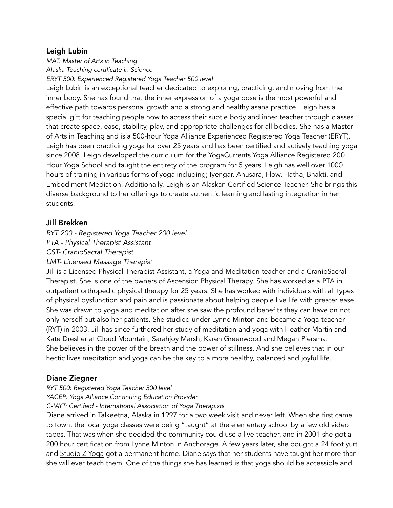### Leigh Lubin

*MAT: Master of Arts in Teaching*

*Alaska Teaching certificate in Science*

*ERYT 500: Experienced Registered Yoga Teacher 500 level*

Leigh Lubin is an exceptional teacher dedicated to exploring, practicing, and moving from the inner body. She has found that the inner expression of a yoga pose is the most powerful and effective path towards personal growth and a strong and healthy asana practice. Leigh has a special gift for teaching people how to access their subtle body and inner teacher through classes that create space, ease, stability, play, and appropriate challenges for all bodies. She has a Master of Arts in Teaching and is a 500-hour Yoga Alliance Experienced Registered Yoga Teacher (ERYT). Leigh has been practicing yoga for over 25 years and has been certified and actively teaching yoga since 2008. Leigh developed the curriculum for the YogaCurrents Yoga Alliance Registered 200 Hour Yoga School and taught the entirety of the program for 5 years. Leigh has well over 1000 hours of training in various forms of yoga including; Iyengar, Anusara, Flow, Hatha, Bhakti, and Embodiment Mediation. Additionally, Leigh is an Alaskan Certified Science Teacher. She brings this diverse background to her offerings to create authentic learning and lasting integration in her students.

## Jill Brekken

*RYT 200 - Registered Yoga Teacher 200 level*

*PTA - Physical Therapist Assistant*

*CST- CranioSacral Therapist*

*LMT- Licensed Massage Therapist*

Jill is a Licensed Physical Therapist Assistant, a Yoga and Meditation teacher and a CranioSacral Therapist. She is one of the owners of Ascension Physical Therapy. She has worked as a PTA in outpatient orthopedic physical therapy for 25 years. She has worked with individuals with all types of physical dysfunction and pain and is passionate about helping people live life with greater ease. She was drawn to yoga and meditation after she saw the profound benefits they can have on not only herself but also her patients. She studied under Lynne Minton and became a Yoga teacher (RYT) in 2003. Jill has since furthered her study of meditation and yoga with Heather Martin and Kate Dresher at Cloud Mountain, Sarahjoy Marsh, Karen Greenwood and Megan Piersma. She believes in the power of the breath and the power of stillness. And she believes that in our hectic lives meditation and yoga can be the key to a more healthy, balanced and joyful life.

# Diane Ziegner

*RYT 500: Registered Yoga Teacher 500 level*

*YACEP: Yoga Alliance Continuing Education Provider* 

*C-IAYT: Certified - International Association of Yoga Therapists*

Diane arrived in Talkeetna, Alaska in 1997 for a two week visit and never left. When she first came to town, the local yoga classes were being "taught" at the elementary school by a few old video tapes. That was when she decided the community could use a live teacher, and in 2001 she got a 200 hour certification from Lynne Minton in Anchorage. A few years later, she bought a 24 foot yurt and [Studio Z Yoga](http://talkeetnayoga.net) got a permanent home. Diane says that her students have taught her more than she will ever teach them. One of the things she has learned is that yoga should be accessible and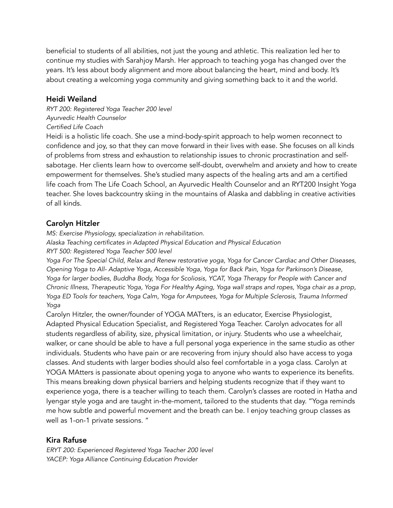beneficial to students of all abilities, not just the young and athletic. This realization led her to continue my studies with Sarahjoy Marsh. Her approach to teaching yoga has changed over the years. It's less about body alignment and more about balancing the heart, mind and body. It's about creating a welcoming yoga community and giving something back to it and the world.

### Heidi Weiland

*RYT 200: Registered Yoga Teacher 200 level Ayurvedic Health Counselor Certified Life Coach*

Heidi is a holistic life coach. She use a mind-body-spirit approach to help women reconnect to confidence and joy, so that they can move forward in their lives with ease. She focuses on all kinds of problems from stress and exhaustion to relationship issues to chronic procrastination and selfsabotage. Her clients learn how to overcome self-doubt, overwhelm and anxiety and how to create empowerment for themselves. She's studied many aspects of the healing arts and am a certified life coach from The Life Coach School, an Ayurvedic Health Counselor and an RYT200 Insight Yoga teacher. She loves backcountry skiing in the mountains of Alaska and dabbling in creative activities of all kinds.

## Carolyn Hitzler

*MS: Exercise Physiology, specialization in rehabilitation. Alaska Teaching certificates in Adapted Physical Education and Physical Education RYT 500: Registered Yoga Teacher 500 level*

*Yoga For The Special Child, Relax and Renew restorative yoga, Yoga for Cancer Cardiac and Other Diseases, Opening Yoga to All- Adaptive Yoga, Accessible Yoga, Yoga for Back Pain, Yoga for Parkinson's Disease, Yoga for larger bodies, Buddha Body, Yoga for Scoliosis, YCAT, Yoga Therapy for People with Cancer and Chronic Illness, Therapeutic Yoga, Yoga For Healthy Aging, Yoga wall straps and ropes, Yoga chair as a prop, Yoga ED Tools for teachers, Yoga Calm, Yoga for Amputees, Yoga for Multiple Sclerosis, Trauma Informed Yoga*

Carolyn Hitzler, the owner/founder of YOGA MATters, is an educator, Exercise Physiologist, Adapted Physical Education Specialist, and Registered Yoga Teacher. Carolyn advocates for all students regardless of ability, size, physical limitation, or injury. Students who use a wheelchair, walker, or cane should be able to have a full personal yoga experience in the same studio as other individuals. Students who have pain or are recovering from injury should also have access to yoga classes. And students with larger bodies should also feel comfortable in a yoga class. Carolyn at YOGA MAtters is passionate about opening yoga to anyone who wants to experience its benefits. This means breaking down physical barriers and helping students recognize that if they want to experience yoga, there is a teacher willing to teach them. Carolyn's classes are rooted in Hatha and Iyengar style yoga and are taught in-the-moment, tailored to the students that day. "Yoga reminds me how subtle and powerful movement and the breath can be. I enjoy teaching group classes as well as 1-on-1 private sessions. "

# Kira Rafuse

*ERYT 200: Experienced Registered Yoga Teacher 200 level YACEP: Yoga Alliance Continuing Education Provider*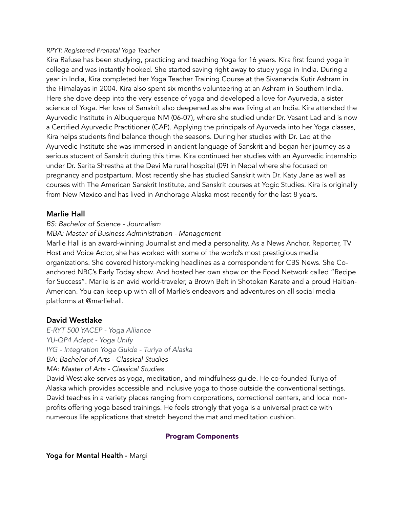#### *RPYT: Registered Prenatal Yoga Teacher*

Kira Rafuse has been studying, practicing and teaching Yoga for 16 years. Kira first found yoga in college and was instantly hooked. She started saving right away to study yoga in India. During a year in India, Kira completed her Yoga Teacher Training Course at the Sivananda Kutir Ashram in the Himalayas in 2004. Kira also spent six months volunteering at an Ashram in Southern India. Here she dove deep into the very essence of yoga and developed a love for Ayurveda, a sister science of Yoga. Her love of Sanskrit also deepened as she was living at an India. Kira attended the Ayurvedic Institute in Albuquerque NM (06-07), where she studied under Dr. Vasant Lad and is now a Certified Ayurvedic Practitioner (CAP). Applying the principals of Ayurveda into her Yoga classes, Kira helps students find balance though the seasons. During her studies with Dr. Lad at the Ayurvedic Institute she was immersed in ancient language of Sanskrit and began her journey as a serious student of Sanskrit during this time. Kira continued her studies with an Ayurvedic internship under Dr. Sarita Shrestha at the Devi Ma rural hospital (09) in Nepal where she focused on pregnancy and postpartum. Most recently she has studied Sanskrit with Dr. Katy Jane as well as courses with The American Sanskrit Institute, and Sanskrit courses at Yogic Studies. Kira is originally from New Mexico and has lived in Anchorage Alaska most recently for the last 8 years.

### Marlie Hall

#### *BS: Bachelor of Science - Journalism*

#### *MBA: Master of Business Administration - Management*

Marlie Hall is an award-winning Journalist and media personality. As a News Anchor, Reporter, TV Host and Voice Actor, she has worked with some of the world's most prestigious media organizations. She covered history-making headlines as a correspondent for CBS News. She Coanchored NBC's Early Today show. And hosted her own show on the Food Network called "Recipe for Success". Marlie is an avid world-traveler, a Brown Belt in Shotokan Karate and a proud Haitian-American. You can keep up with all of Marlie's endeavors and adventures on all social media platforms at @marliehall.

### David Westlake

*E-RYT 500 YACEP - Yoga Alliance YU-QP4 Adept - Yoga Unify IYG - Integration Yoga Guide - Turiya of Alaska BA: Bachelor of Arts - Classical Studies MA: Master of Arts - Classical Studies* 

David Westlake serves as yoga, meditation, and mindfulness guide. He co-founded Turiya of Alaska which provides accessible and inclusive yoga to those outside the conventional settings. David teaches in a variety places ranging from corporations, correctional centers, and local nonprofits offering yoga based trainings. He feels strongly that yoga is a universal practice with numerous life applications that stretch beyond the mat and meditation cushion.

#### Program Components

Yoga for Mental Health - Margi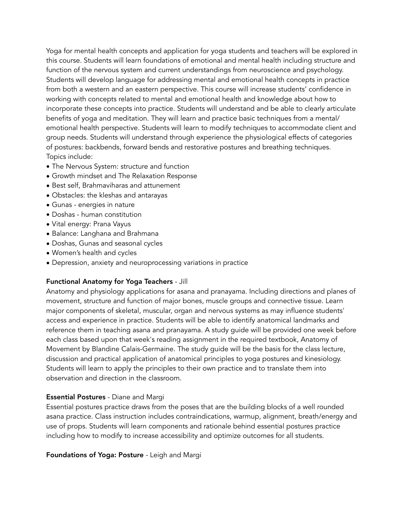Yoga for mental health concepts and application for yoga students and teachers will be explored in this course. Students will learn foundations of emotional and mental health including structure and function of the nervous system and current understandings from neuroscience and psychology. Students will develop language for addressing mental and emotional health concepts in practice from both a western and an eastern perspective. This course will increase students' confidence in working with concepts related to mental and emotional health and knowledge about how to incorporate these concepts into practice. Students will understand and be able to clearly articulate benefits of yoga and meditation. They will learn and practice basic techniques from a mental/ emotional health perspective. Students will learn to modify techniques to accommodate client and group needs. Students will understand through experience the physiological effects of categories of postures: backbends, forward bends and restorative postures and breathing techniques. Topics include:

- The Nervous System: structure and function
- Growth mindset and The Relaxation Response
- Best self, Brahmaviharas and attunement
- Obstacles: the kleshas and antarayas
- Gunas energies in nature
- Doshas human constitution
- Vital energy: Prana Vayus
- Balance: Langhana and Brahmana
- Doshas, Gunas and seasonal cycles
- Women's health and cycles
- Depression, anxiety and neuroprocessing variations in practice

### Functional Anatomy for Yoga Teachers - Jill

Anatomy and physiology applications for asana and pranayama. Including directions and planes of movement, structure and function of major bones, muscle groups and connective tissue. Learn major components of skeletal, muscular, organ and nervous systems as may influence students' access and experience in practice. Students will be able to identify anatomical landmarks and reference them in teaching asana and pranayama. A study guide will be provided one week before each class based upon that week's reading assignment in the required textbook, Anatomy of Movement by Blandine Calais-Germaine. The study guide will be the basis for the class lecture, discussion and practical application of anatomical principles to yoga postures and kinesiology. Students will learn to apply the principles to their own practice and to translate them into observation and direction in the classroom.

### Essential Postures - Diane and Margi

Essential postures practice draws from the poses that are the building blocks of a well rounded asana practice. Class instruction includes contraindications, warmup, alignment, breath/energy and use of props. Students will learn components and rationale behind essential postures practice including how to modify to increase accessibility and optimize outcomes for all students.

Foundations of Yoga: Posture *-* Leigh and Margi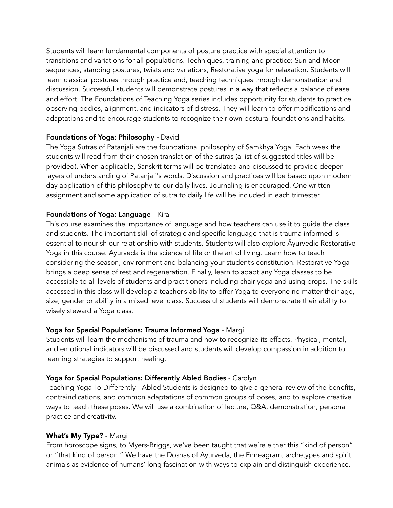Students will learn fundamental components of posture practice with special attention to transitions and variations for all populations. Techniques, training and practice: Sun and Moon sequences, standing postures, twists and variations, Restorative yoga for relaxation. Students will learn classical postures through practice and, teaching techniques through demonstration and discussion. Successful students will demonstrate postures in a way that reflects a balance of ease and effort. The Foundations of Teaching Yoga series includes opportunity for students to practice observing bodies, alignment, and indicators of distress. They will learn to offer modifications and adaptations and to encourage students to recognize their own postural foundations and habits.

#### Foundations of Yoga: Philosophy *-* David

The Yoga Sutras of Patanjali are the foundational philosophy of Samkhya Yoga. Each week the students will read from their chosen translation of the sutras (a list of suggested titles will be provided). When applicable, Sanskrit terms will be translated and discussed to provide deeper layers of understanding of Patanjali's words. Discussion and practices will be based upon modern day application of this philosophy to our daily lives. Journaling is encouraged. One written assignment and some application of sutra to daily life will be included in each trimester.

#### Foundations of Yoga: Language - Kira

This course examines the importance of language and how teachers can use it to guide the class and students. The important skill of strategic and specific language that is trauma informed is essential to nourish our relationship with students. Students will also explore Āyurvedic Restorative Yoga in this course. Ayurveda is the science of life or the art of living. Learn how to teach considering the season, environment and balancing your student's constitution. Restorative Yoga brings a deep sense of rest and regeneration. Finally, learn to adapt any Yoga classes to be accessible to all levels of students and practitioners including chair yoga and using props. The skills accessed in this class will develop a teacher's ability to offer Yoga to everyone no matter their age, size, gender or ability in a mixed level class. Successful students will demonstrate their ability to wisely steward a Yoga class.

### Yoga for Special Populations: Trauma Informed Yoga - Margi

Students will learn the mechanisms of trauma and how to recognize its effects. Physical, mental, and emotional indicators will be discussed and students will develop compassion in addition to learning strategies to support healing.

### Yoga for Special Populations: Differently Abled Bodies - Carolyn

Teaching Yoga To Differently - Abled Students is designed to give a general review of the benefits, contraindications, and common adaptations of common groups of poses, and to explore creative ways to teach these poses. We will use a combination of lecture, Q&A, demonstration, personal practice and creativity.

### What's My Type? - Margi

From horoscope signs, to Myers-Briggs, we've been taught that we're either this "kind of person" or "that kind of person." We have the Doshas of Ayurveda, the Enneagram, archetypes and spirit animals as evidence of humans' long fascination with ways to explain and distinguish experience.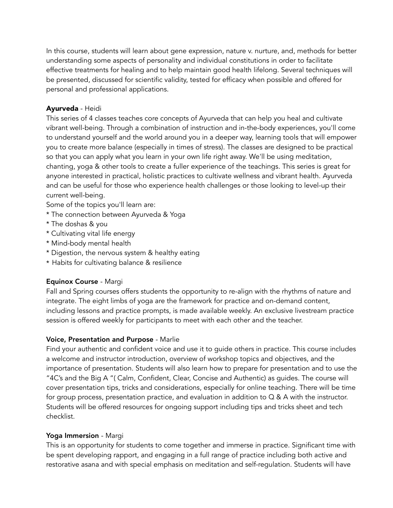In this course, students will learn about gene expression, nature v. nurture, and, methods for better understanding some aspects of personality and individual constitutions in order to facilitate effective treatments for healing and to help maintain good health lifelong. Several techniques will be presented, discussed for scientific validity, tested for efficacy when possible and offered for personal and professional applications.

### Ayurveda - Heidi

This series of 4 classes teaches core concepts of Ayurveda that can help you heal and cultivate vibrant well-being. Through a combination of instruction and in-the-body experiences, you'll come to understand yourself and the world around you in a deeper way, learning tools that will empower you to create more balance (especially in times of stress). The classes are designed to be practical so that you can apply what you learn in your own life right away. We'll be using meditation, chanting, yoga & other tools to create a fuller experience of the teachings. This series is great for anyone interested in practical, holistic practices to cultivate wellness and vibrant health. Ayurveda and can be useful for those who experience health challenges or those looking to level-up their current well-being.

Some of the topics you'll learn are:

- \* The connection between Ayurveda & Yoga
- \* The doshas & you
- \* Cultivating vital life energy
- \* Mind-body mental health
- \* Digestion, the nervous system & healthy eating
- \* Habits for cultivating balance & resilience

### Equinox Course - Margi

Fall and Spring courses offers students the opportunity to re-align with the rhythms of nature and integrate. The eight limbs of yoga are the framework for practice and on-demand content, including lessons and practice prompts, is made available weekly. An exclusive livestream practice session is offered weekly for participants to meet with each other and the teacher.

#### Voice, Presentation and Purpose - Marlie

Find your authentic and confident voice and use it to guide others in practice. This course includes a welcome and instructor introduction, overview of workshop topics and objectives, and the importance of presentation. Students will also learn how to prepare for presentation and to use the "4C's and the Big A "( Calm, Confident, Clear, Concise and Authentic) as guides. The course will cover presentation tips, tricks and considerations, especially for online teaching. There will be time for group process, presentation practice, and evaluation in addition to  $\Omega$  & A with the instructor. Students will be offered resources for ongoing support including tips and tricks sheet and tech checklist.

#### Yoga Immersion - Margi

This is an opportunity for students to come together and immerse in practice. Significant time with be spent developing rapport, and engaging in a full range of practice including both active and restorative asana and with special emphasis on meditation and self-regulation. Students will have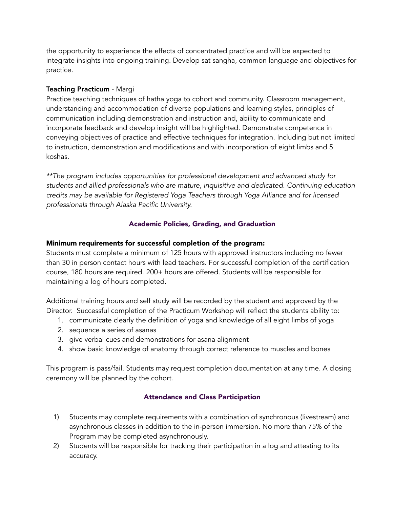the opportunity to experience the effects of concentrated practice and will be expected to integrate insights into ongoing training. Develop sat sangha, common language and objectives for practice.

### Teaching Practicum - Margi

Practice teaching techniques of hatha yoga to cohort and community. Classroom management, understanding and accommodation of diverse populations and learning styles, principles of communication including demonstration and instruction and, ability to communicate and incorporate feedback and develop insight will be highlighted. Demonstrate competence in conveying objectives of practice and effective techniques for integration. Including but not limited to instruction, demonstration and modifications and with incorporation of eight limbs and 5 koshas.

*\*\*The program includes opportunities for professional development and advanced study for students and allied professionals who are mature, inquisitive and dedicated. Continuing education credits may be available for Registered Yoga Teachers through Yoga Alliance and for licensed professionals through Alaska Pacific University.* 

## Academic Policies, Grading, and Graduation

### Minimum requirements for successful completion of the program:

Students must complete a minimum of 125 hours with approved instructors including no fewer than 30 in person contact hours with lead teachers. For successful completion of the certification course, 180 hours are required. 200+ hours are offered. Students will be responsible for maintaining a log of hours completed.

Additional training hours and self study will be recorded by the student and approved by the Director. Successful completion of the Practicum Workshop will reflect the students ability to:

- 1. communicate clearly the definition of yoga and knowledge of all eight limbs of yoga
- 2. sequence a series of asanas
- 3. give verbal cues and demonstrations for asana alignment
- 4. show basic knowledge of anatomy through correct reference to muscles and bones

This program is pass/fail. Students may request completion documentation at any time. A closing ceremony will be planned by the cohort.

### Attendance and Class Participation

- 1) Students may complete requirements with a combination of synchronous (livestream) and asynchronous classes in addition to the in-person immersion. No more than 75% of the Program may be completed asynchronously.
- 2) Students will be responsible for tracking their participation in a log and attesting to its accuracy.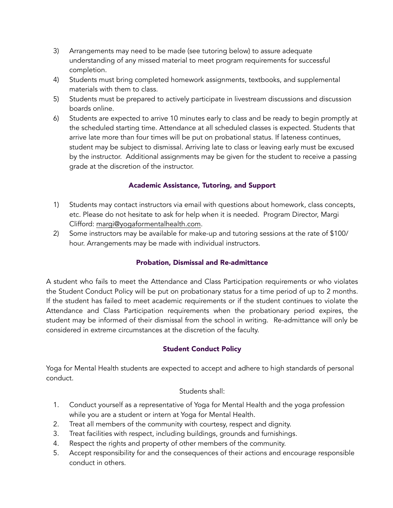- 3) Arrangements may need to be made (see tutoring below) to assure adequate understanding of any missed material to meet program requirements for successful completion.
- 4) Students must bring completed homework assignments, textbooks, and supplemental materials with them to class.
- 5) Students must be prepared to actively participate in livestream discussions and discussion boards online.
- 6) Students are expected to arrive 10 minutes early to class and be ready to begin promptly at the scheduled starting time. Attendance at all scheduled classes is expected. Students that arrive late more than four times will be put on probational status. If lateness continues, student may be subject to dismissal. Arriving late to class or leaving early must be excused by the instructor. Additional assignments may be given for the student to receive a passing grade at the discretion of the instructor.

## Academic Assistance, Tutoring, and Support

- 1) Students may contact instructors via email with questions about homework, class concepts, etc. Please do not hesitate to ask for help when it is needed. Program Director, Margi Clifford: [margi@yogaformentalhealth.com.](mailto:margi@yogaformentalhealth.com)
- 2) Some instructors may be available for make-up and tutoring sessions at the rate of \$100/ hour. Arrangements may be made with individual instructors.

### Probation, Dismissal and Re-admittance

A student who fails to meet the Attendance and Class Participation requirements or who violates the Student Conduct Policy will be put on probationary status for a time period of up to 2 months. If the student has failed to meet academic requirements or if the student continues to violate the Attendance and Class Participation requirements when the probationary period expires, the student may be informed of their dismissal from the school in writing. Re-admittance will only be considered in extreme circumstances at the discretion of the faculty.

### Student Conduct Policy

Yoga for Mental Health students are expected to accept and adhere to high standards of personal conduct.

#### Students shall:

- 1. Conduct yourself as a representative of Yoga for Mental Health and the yoga profession while you are a student or intern at Yoga for Mental Health.
- 2. Treat all members of the community with courtesy, respect and dignity.
- 3. Treat facilities with respect, including buildings, grounds and furnishings.
- 4. Respect the rights and property of other members of the community.
- 5. Accept responsibility for and the consequences of their actions and encourage responsible conduct in others.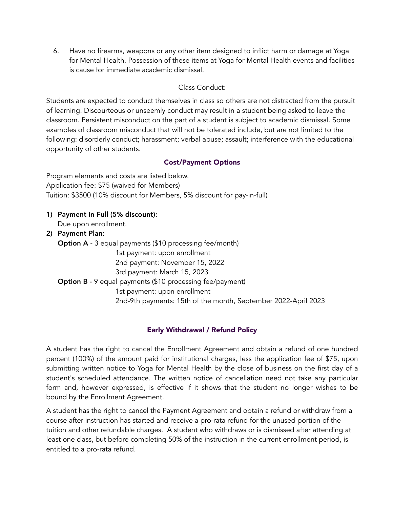6. Have no firearms, weapons or any other item designed to inflict harm or damage at Yoga for Mental Health. Possession of these items at Yoga for Mental Health events and facilities is cause for immediate academic dismissal.

#### Class Conduct:

Students are expected to conduct themselves in class so others are not distracted from the pursuit of learning. Discourteous or unseemly conduct may result in a student being asked to leave the classroom. Persistent misconduct on the part of a student is subject to academic dismissal. Some examples of classroom misconduct that will not be tolerated include, but are not limited to the following: disorderly conduct; harassment; verbal abuse; assault; interference with the educational opportunity of other students.

### Cost/Payment Options

Program elements and costs are listed below. Application fee: \$75 (waived for Members) Tuition: \$3500 (10% discount for Members, 5% discount for pay-in-full)

- 1) Payment in Full (5% discount): Due upon enrollment.
- 2) Payment Plan: Option A - 3 equal payments (\$10 processing fee/month) 1st payment: upon enrollment 2nd payment: November 15, 2022 3rd payment: March 15, 2023 Option B - 9 equal payments (\$10 processing fee/payment) 1st payment: upon enrollment 2nd-9th payments: 15th of the month, September 2022-April 2023

# Early Withdrawal / Refund Policy

A student has the right to cancel the Enrollment Agreement and obtain a refund of one hundred percent (100%) of the amount paid for institutional charges, less the application fee of \$75, upon submitting written notice to Yoga for Mental Health by the close of business on the first day of a student's scheduled attendance. The written notice of cancellation need not take any particular form and, however expressed, is effective if it shows that the student no longer wishes to be bound by the Enrollment Agreement.

A student has the right to cancel the Payment Agreement and obtain a refund or withdraw from a course after instruction has started and receive a pro-rata refund for the unused portion of the tuition and other refundable charges. A student who withdraws or is dismissed after attending at least one class, but before completing 50% of the instruction in the current enrollment period, is entitled to a pro-rata refund.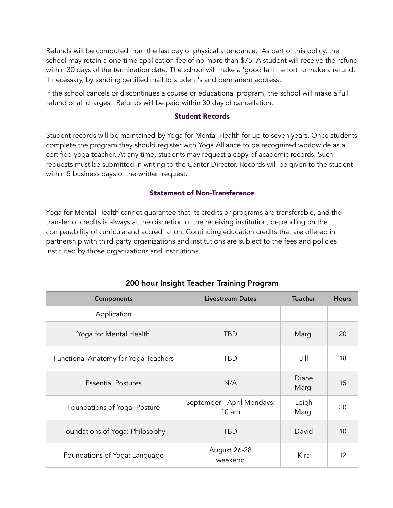Refunds will be computed from the last day of physical attendance. As part of this policy, the school may retain a one-time application fee of no more than \$75. A student will receive the refund within 30 days of the termination date. The school will make a 'good faith' effort to make a refund, if necessary, by sending certified mail to student's and permanent address.

If the school cancels or discontinues a course or educational program, the school will make a full refund of all charges. Refunds will be paid within 30 day of cancellation.

#### Student Records

Student records will be maintained by Yoga for Mental Health for up to seven years. Once students complete the program they should register with Yoga Alliance to be recognized worldwide as a certified yoga teacher. At any time, students may request a copy of academic records. Such requests must be submitted in writing to the Center Director. Records will be given to the student within 5 business days of the written request.

#### Statement of Non-Transference

Yoga for Mental Health cannot guarantee that its credits or programs are transferable, and the transfer of credits is always at the discretion of the receiving institution, depending on the comparability of curricula and accreditation. Continuing education credits that are offered in partnership with third party organizations and institutions are subject to the fees and policies instituted by those organizations and institutions.

| 200 hour Insight Teacher Training Program |                                     |                |              |  |
|-------------------------------------------|-------------------------------------|----------------|--------------|--|
| <b>Components</b>                         | Livestream Dates                    | <b>Teacher</b> | <b>Hours</b> |  |
| Application                               |                                     |                |              |  |
| Yoga for Mental Health                    | <b>TBD</b>                          | Margi          | 20           |  |
| Functional Anatomy for Yoga Teachers      | TBD                                 | Jill           | 18           |  |
| <b>Essential Postures</b>                 | N/A                                 | Diane<br>Margi | 15           |  |
| Foundations of Yoga: Posture              | September - April Mondays:<br>10 am | Leigh<br>Margi | 30           |  |
| Foundations of Yoga: Philosophy           | TBD                                 | David          | 10           |  |
| Foundations of Yoga: Language             | August 26-28<br>weekend             | Kira           | 12           |  |